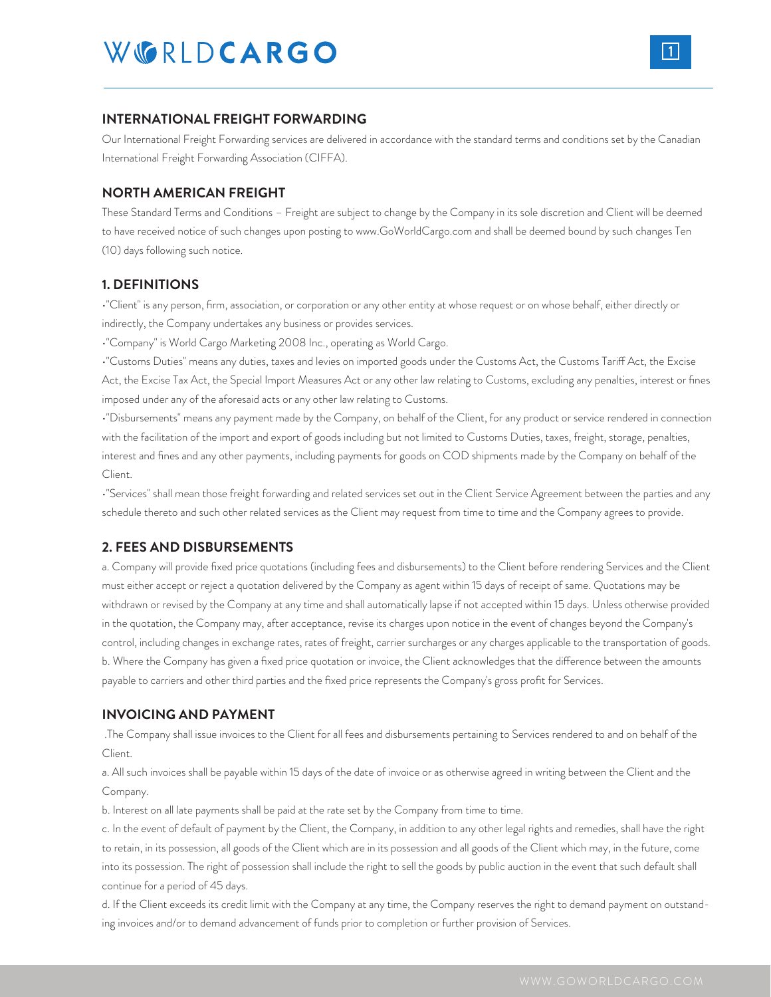### **INTERNATIONAL FREIGHT FORWARDING**

Our International Freight Forwarding services are delivered in accordance with the standard terms and conditions set by the Canadian International Freight Forwarding Association (CIFFA).

### **NORTH AMERICAN FREIGHT**

These Standard Terms and Conditions – Freight are subject to change by the Company in its sole discretion and Client will be deemed to have received notice of such changes upon posting to www.GoWorldCargo.com and shall be deemed bound by such changes Ten (10) days following such notice.

### **1. DEFINITIONS**

•"Client" is any person, firm, association, or corporation or any other entity at whose request or on whose behalf, either directly or indirectly, the Company undertakes any business or provides services.

•"Company" is World Cargo Marketing 2008 Inc., operating as World Cargo.

•"Customs Duties" means any duties, taxes and levies on imported goods under the Customs Act, the Customs Tariff Act, the Excise Act, the Excise Tax Act, the Special Import Measures Act or any other law relating to Customs, excluding any penalties, interest or fines imposed under any of the aforesaid acts or any other law relating to Customs.

•"Disbursements" means any payment made by the Company, on behalf of the Client, for any product or service rendered in connection with the facilitation of the import and export of goods including but not limited to Customs Duties, taxes, freight, storage, penalties, interest and fines and any other payments, including payments for goods on COD shipments made by the Company on behalf of the Client.

•"Services" shall mean those freight forwarding and related services set out in the Client Service Agreement between the parties and any schedule thereto and such other related services as the Client may request from time to time and the Company agrees to provide.

# **2. FEES AND DISBURSEMENTS**

a. Company will provide fixed price quotations (including fees and disbursements) to the Client before rendering Services and the Client must either accept or reject a quotation delivered by the Company as agent within 15 days of receipt of same. Quotations may be withdrawn or revised by the Company at any time and shall automatically lapse if not accepted within 15 days. Unless otherwise provided in the quotation, the Company may, after acceptance, revise its charges upon notice in the event of changes beyond the Company's control, including changes in exchange rates, rates of freight, carrier surcharges or any charges applicable to the transportation of goods. b. Where the Company has given a fixed price quotation or invoice, the Client acknowledges that the difference between the amounts payable to carriers and other third parties and the fixed price represents the Company's gross profit for Services.

### **INVOICING AND PAYMENT**

 .The Company shall issue invoices to the Client for all fees and disbursements pertaining to Services rendered to and on behalf of the Client.

a. All such invoices shall be payable within 15 days of the date of invoice or as otherwise agreed in writing between the Client and the Company.

b. Interest on all late payments shall be paid at the rate set by the Company from time to time.

c. In the event of default of payment by the Client, the Company, in addition to any other legal rights and remedies, shall have the right to retain, in its possession, all goods of the Client which are in its possession and all goods of the Client which may, in the future, come into its possession. The right of possession shall include the right to sell the goods by public auction in the event that such default shall continue for a period of 45 days.

d. If the Client exceeds its credit limit with the Company at any time, the Company reserves the right to demand payment on outstanding invoices and/or to demand advancement of funds prior to completion or further provision of Services.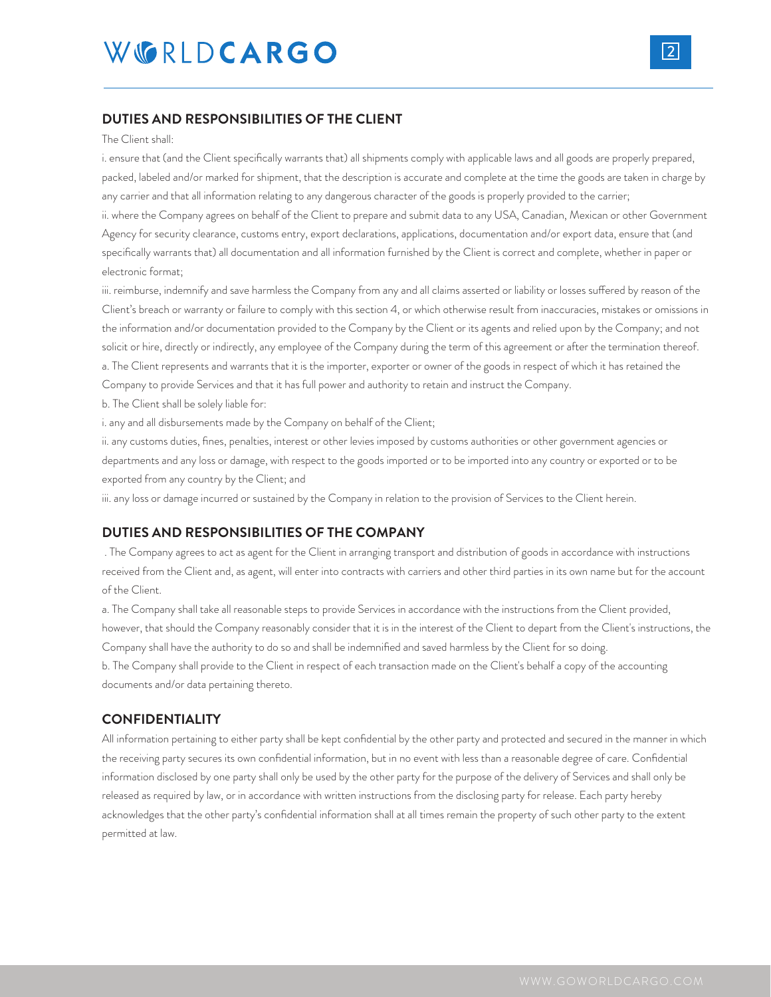## **DUTIES AND RESPONSIBILITIES OF THE CLIENT**

#### The Client shall:

i. ensure that (and the Client specifically warrants that) all shipments comply with applicable laws and all goods are properly prepared, packed, labeled and/or marked for shipment, that the description is accurate and complete at the time the goods are taken in charge by any carrier and that all information relating to any dangerous character of the goods is properly provided to the carrier; ii. where the Company agrees on behalf of the Client to prepare and submit data to any USA, Canadian, Mexican or other Government

Agency for security clearance, customs entry, export declarations, applications, documentation and/or export data, ensure that (and specifically warrants that) all documentation and all information furnished by the Client is correct and complete, whether in paper or electronic format;

iii. reimburse, indemnify and save harmless the Company from any and all claims asserted or liability or losses suffered by reason of the Client's breach or warranty or failure to comply with this section 4, or which otherwise result from inaccuracies, mistakes or omissions in the information and/or documentation provided to the Company by the Client or its agents and relied upon by the Company; and not solicit or hire, directly or indirectly, any employee of the Company during the term of this agreement or after the termination thereof. a. The Client represents and warrants that it is the importer, exporter or owner of the goods in respect of which it has retained the Company to provide Services and that it has full power and authority to retain and instruct the Company.

b. The Client shall be solely liable for:

i. any and all disbursements made by the Company on behalf of the Client;

ii. any customs duties, fines, penalties, interest or other levies imposed by customs authorities or other government agencies or departments and any loss or damage, with respect to the goods imported or to be imported into any country or exported or to be exported from any country by the Client; and

iii. any loss or damage incurred or sustained by the Company in relation to the provision of Services to the Client herein.

## **DUTIES AND RESPONSIBILITIES OF THE COMPANY**

 . The Company agrees to act as agent for the Client in arranging transport and distribution of goods in accordance with instructions received from the Client and, as agent, will enter into contracts with carriers and other third parties in its own name but for the account of the Client.

a. The Company shall take all reasonable steps to provide Services in accordance with the instructions from the Client provided, however, that should the Company reasonably consider that it is in the interest of the Client to depart from the Client's instructions, the Company shall have the authority to do so and shall be indemnified and saved harmless by the Client for so doing. b. The Company shall provide to the Client in respect of each transaction made on the Client's behalf a copy of the accounting documents and/or data pertaining thereto.

## **CONFIDENTIALITY**

All information pertaining to either party shall be kept confidential by the other party and protected and secured in the manner in which the receiving party secures its own confidential information, but in no event with less than a reasonable degree of care. Confidential information disclosed by one party shall only be used by the other party for the purpose of the delivery of Services and shall only be released as required by law, or in accordance with written instructions from the disclosing party for release. Each party hereby acknowledges that the other party's confidential information shall at all times remain the property of such other party to the extent permitted at law.